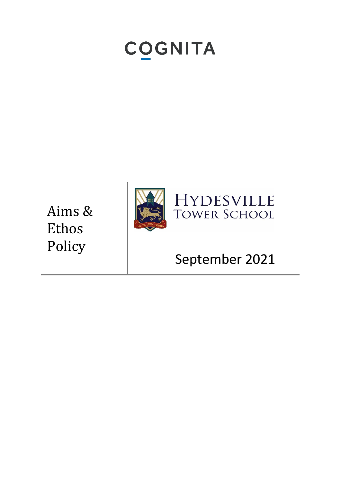# **COGNITA**

Aims & Ethos Policy





# September 202 1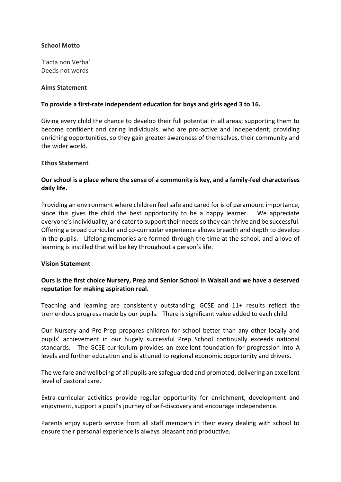# **School Motto**

'Facta non Verba' Deeds not words

#### **Aims Statement**

## **To provide a first-rate independent education for boys and girls aged 3 to 16.**

Giving every child the chance to develop their full potential in all areas; supporting them to become confident and caring individuals, who are pro-active and independent; providing enriching opportunities, so they gain greater awareness of themselves, their community and the wider world.

#### **Ethos Statement**

# **Our school is a place where the sense of a community is key, and a family-feel characterises daily life.**

Providing an environment where children feel safe and cared for is of paramount importance, since this gives the child the best opportunity to be a happy learner. We appreciate everyone's individuality, and cater to support their needs so they can thrive and be successful. Offering a broad curricular and co-curricular experience allows breadth and depth to develop in the pupils. Lifelong memories are formed through the time at the school, and a love of learning is instilled that will be key throughout a person's life.

#### **Vision Statement**

# **Ours is the first choice Nursery, Prep and Senior School in Walsall and we have a deserved reputation for making aspiration real.**

Teaching and learning are consistently outstanding; GCSE and 11+ results reflect the tremendous progress made by our pupils. There is significant value added to each child.

Our Nursery and Pre-Prep prepares children for school better than any other locally and pupils' achievement in our hugely successful Prep School continually exceeds national standards. The GCSE curriculum provides an excellent foundation for progression into A levels and further education and is attuned to regional economic opportunity and drivers.

The welfare and wellbeing of all pupils are safeguarded and promoted, delivering an excellent level of pastoral care.

Extra-curricular activities provide regular opportunity for enrichment, development and enjoyment, support a pupil's journey of self-discovery and encourage independence.

Parents enjoy superb service from all staff members in their every dealing with school to ensure their personal experience is always pleasant and productive.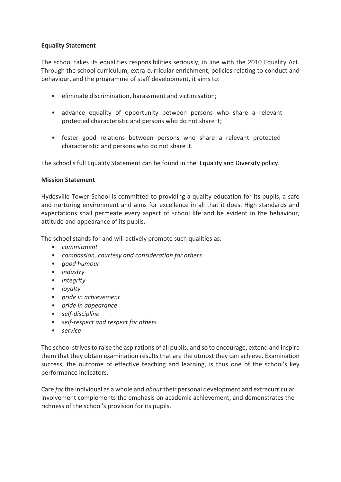# **Equality Statement**

The school takes its equalities responsibilities seriously, in line with the 2010 Equality Act. Through the school curriculum, extra-curricular enrichment, policies relating to conduct and behaviour, and the programme of staff development, it aims to:

- eliminate discrimination, harassment and victimisation;
- advance equality of opportunity between persons who share a relevant protected characteristic and persons who do not share it;
- foster good relations between persons who share a relevant protected characteristic and persons who do not share it.

The school's full Equality Statement can be found in the [Equality and Diversity policy](http://www.quintonhouseschool.co.uk/download.php?file=TkRRPQ).

# **Mission Statement**

Hydesville Tower School is committed to providing a quality education for its pupils, a safe and nurturing environment and aims for excellence in all that it does. High standards and expectations shall permeate every aspect of school life and be evident in the behaviour, attitude and appearance of its pupils.

The school stands for and will actively promote such qualities as:

- *commitment*
- *compassion, courtesy and consideration for others*
- *good humour*
- *industry*
- *integrity*
- *loyalty*
- *pride in achievement*
- *pride in appearance*
- *self-discipline*
- *self-respect and respect for others*
- *service*

The school strives to raise the aspirations of all pupils, and so to encourage, extend and inspire them that they obtain examination results that are the utmost they can achieve. Examination success, the outcome of effective teaching and learning, is thus one of the school's key performance indicators.

Care *for* the individual as a whole and *about* their personal development and extracurricular involvement complements the emphasis on academic achievement, and demonstrates the richness of the school's provision for its pupils.